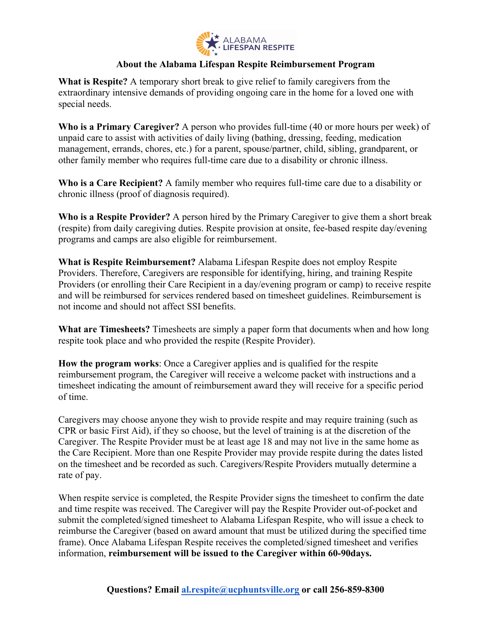

#### **About the Alabama Lifespan Respite Reimbursement Program**

**What is Respite?** A temporary short break to give relief to family caregivers from the extraordinary intensive demands of providing ongoing care in the home for a loved one with special needs.

**Who is a Primary Caregiver?** A person who provides full-time (40 or more hours per week) of unpaid care to assist with activities of daily living (bathing, dressing, feeding, medication management, errands, chores, etc.) for a parent, spouse/partner, child, sibling, grandparent, or other family member who requires full-time care due to a disability or chronic illness.

**Who is a Care Recipient?** A family member who requires full-time care due to a disability or chronic illness (proof of diagnosis required).

**Who is a Respite Provider?** A person hired by the Primary Caregiver to give them a short break (respite) from daily caregiving duties. Respite provision at onsite, fee-based respite day/evening programs and camps are also eligible for reimbursement.

**What is Respite Reimbursement?** Alabama Lifespan Respite does not employ Respite Providers. Therefore, Caregivers are responsible for identifying, hiring, and training Respite Providers (or enrolling their Care Recipient in a day/evening program or camp) to receive respite and will be reimbursed for services rendered based on timesheet guidelines. Reimbursement is not income and should not affect SSI benefits.

**What are Timesheets?** Timesheets are simply a paper form that documents when and how long respite took place and who provided the respite (Respite Provider).

**How the program works**: Once a Caregiver applies and is qualified for the respite reimbursement program, the Caregiver will receive a welcome packet with instructions and a timesheet indicating the amount of reimbursement award they will receive for a specific period of time.

Caregivers may choose anyone they wish to provide respite and may require training (such as CPR or basic First Aid), if they so choose, but the level of training is at the discretion of the Caregiver. The Respite Provider must be at least age 18 and may not live in the same home as the Care Recipient. More than one Respite Provider may provide respite during the dates listed on the timesheet and be recorded as such. Caregivers/Respite Providers mutually determine a rate of pay.

When respite service is completed, the Respite Provider signs the timesheet to confirm the date and time respite was received. The Caregiver will pay the Respite Provider out-of-pocket and submit the completed/signed timesheet to Alabama Lifespan Respite, who will issue a check to reimburse the Caregiver (based on award amount that must be utilized during the specified time frame). Once Alabama Lifespan Respite receives the completed/signed timesheet and verifies information, **reimbursement will be issued to the Caregiver within 60-90days.**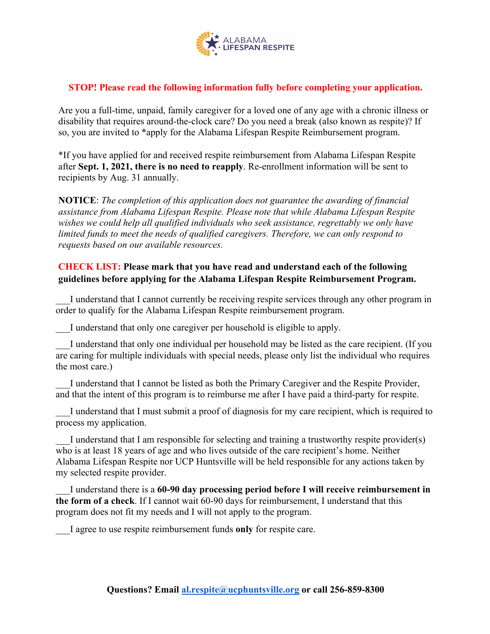

### **STOP! Please read the following information fully before completing your application.**

Are you a full-time, unpaid, family caregiver for a loved one of any age with a chronic illness or disability that requires around-the-clock care? Do you need a break (also known as respite)? If so, you are invited to \*apply for the Alabama Lifespan Respite Reimbursement program.

\*If you have applied for and received respite reimbursement from Alabama Lifespan Respite after **Sept. 1, 2021, there is no need to reapply**. Re-enrollment information will be sent to recipients by Aug. 31 annually.

**NOTICE**: *The completion of this application does not guarantee the awarding of financial assistance from Alabama Lifespan Respite. Please note that while Alabama Lifespan Respite wishes we could help all qualified individuals who seek assistance, regrettably we only have limited funds to meet the needs of qualified caregivers. Therefore, we can only respond to requests based on our available resources.*

# **CHECK LIST: Please mark that you have read and understand each of the following guidelines before applying for the Alabama Lifespan Respite Reimbursement Program.**

I understand that I cannot currently be receiving respite services through any other program in order to qualify for the Alabama Lifespan Respite reimbursement program.

I understand that only one caregiver per household is eligible to apply.

I understand that only one individual per household may be listed as the care recipient. (If you are caring for multiple individuals with special needs, please only list the individual who requires the most care.)

\_\_\_I understand that I cannot be listed as both the Primary Caregiver and the Respite Provider, and that the intent of this program is to reimburse me after I have paid a third-party for respite.

I understand that I must submit a proof of diagnosis for my care recipient, which is required to process my application.

\_\_\_I understand that I am responsible for selecting and training a trustworthy respite provider(s) who is at least 18 years of age and who lives outside of the care recipient's home. Neither Alabama Lifespan Respite nor UCP Huntsville will be held responsible for any actions taken by my selected respite provider.

\_\_\_I understand there is a **60-90 day processing period before I will receive reimbursement in the form of a check**. If I cannot wait 60-90 days for reimbursement, I understand that this program does not fit my needs and I will not apply to the program.

\_\_\_I agree to use respite reimbursement funds **only** for respite care.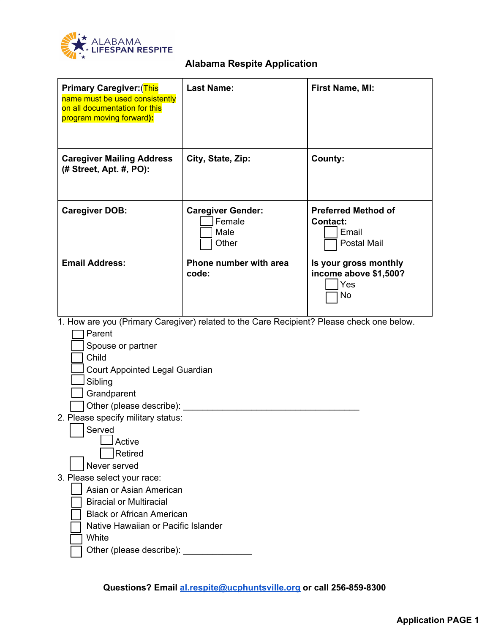

# **Alabama Respite Application**

| <b>Primary Caregiver:</b> (This<br>name must be used consistently<br>on all documentation for this<br>program moving forward):                                                                                                                                      | <b>Last Name:</b>                                   | First Name, MI:                                                              |
|---------------------------------------------------------------------------------------------------------------------------------------------------------------------------------------------------------------------------------------------------------------------|-----------------------------------------------------|------------------------------------------------------------------------------|
| <b>Caregiver Mailing Address</b><br>(# Street, Apt. #, PO):                                                                                                                                                                                                         | City, State, Zip:                                   | County:                                                                      |
| <b>Caregiver DOB:</b>                                                                                                                                                                                                                                               | <b>Caregiver Gender:</b><br>Female<br>Male<br>Other | <b>Preferred Method of</b><br><b>Contact:</b><br>Email<br><b>Postal Mail</b> |
| <b>Email Address:</b>                                                                                                                                                                                                                                               | Phone number with area<br>code:                     | Is your gross monthly<br>income above \$1,500?<br>Yes<br>No                  |
| 1. How are you (Primary Caregiver) related to the Care Recipient? Please check one below.<br>Parent<br>Spouse or partner<br>Child<br>Court Appointed Legal Guardian<br>Sibling<br>Grandparent<br>Other (please describe):<br>2. Please specify military status:     |                                                     |                                                                              |
| Served<br>Active<br><b>Retired</b><br>Never served<br>3. Please select your race:<br>Asian or Asian American<br><b>Biracial or Multiracial</b><br><b>Black or African American</b><br>Native Hawaiian or Pacific Islander<br>White<br>Other (please describe): ____ |                                                     |                                                                              |

**Questions? Email [al.respite@ucphuntsville.org](mailto:al.respite@ucphuntsville.org) or call 256-859-8300**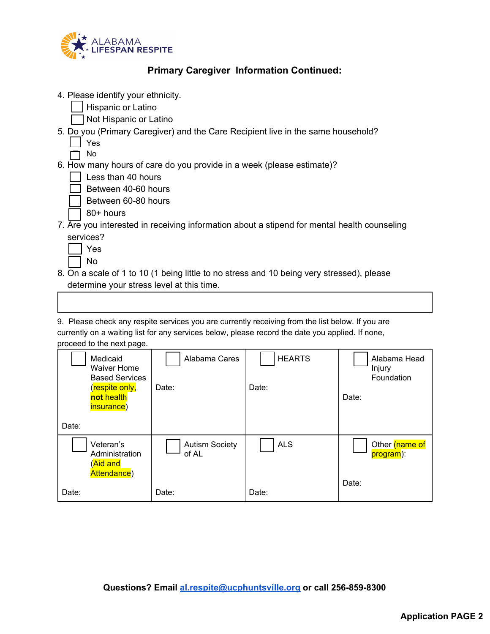

# **Primary Caregiver Information Continued:**

4. Please identify your ethnicity.

❏ Hispanic or Latino

❏ Not Hispanic or Latino

- 5. Do you (Primary Caregiver) and the Care Recipient live in the same household?
	- ❏ Yes
	- ❏ No

#### 6. How many hours of care do you provide in a week (please estimate)?

| Less than 40 hours |  |
|--------------------|--|
|                    |  |

❏ Between 40-60 hours

- ❏ Between 60-80 hours
	- ❏ 80+ hours
- 7. Are you interested in receiving information about a stipend for mental health counseling services?

| ÷<br>– |
|--------|
| ገ      |

- 8. On a scale of 1 to 10 (1 being little to no stress and 10 being very stressed), please determine your stress level at this time.
- 9. Please check any respite services you are currently receiving from the list below. If you are currently on a waiting list for any services below, please record the date you applied. If none, proceed to the next page.

| Medicaid<br><b>Waiver Home</b><br><b>Based Services</b><br>(respite only,<br>not health<br>insurance) | Alabama Cares<br>Date:         | <b>HEARTS</b><br>Date: | Alabama Head<br>Injury<br>Foundation<br>Date: |
|-------------------------------------------------------------------------------------------------------|--------------------------------|------------------------|-----------------------------------------------|
| Date:                                                                                                 |                                |                        |                                               |
| Veteran's<br>Administration<br>(Aid and<br>Attendance)                                                | <b>Autism Society</b><br>of AL | <b>ALS</b>             | Other (name of<br>program):<br>Date:          |
| Date:                                                                                                 | Date:                          | Date:                  |                                               |